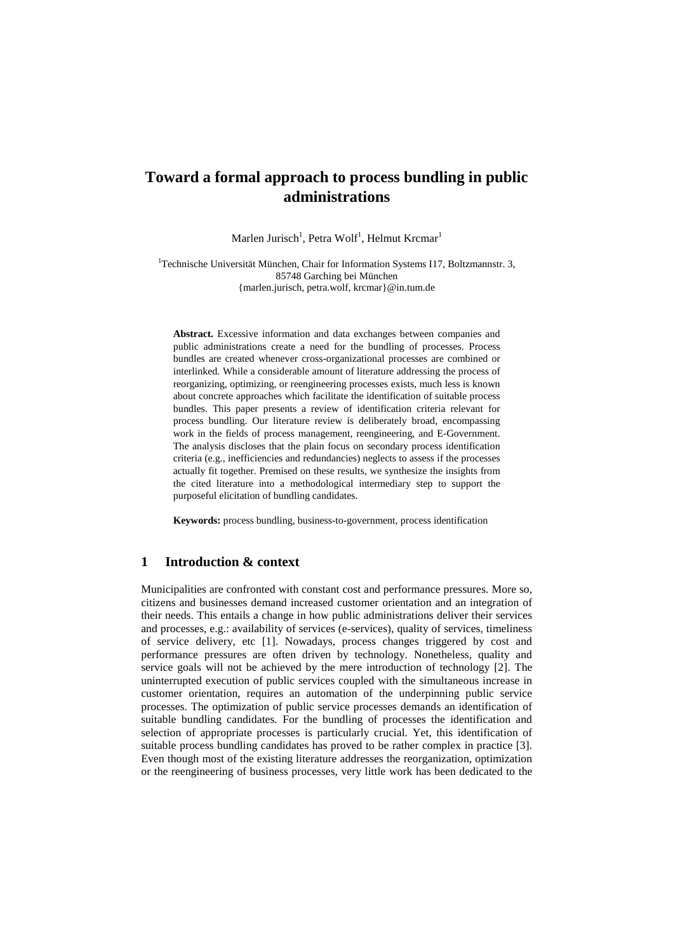# **Toward a formal approach to process bundling in public administrations**

Marlen Jurisch<sup>1</sup>, Petra Wolf<sup>1</sup>, Helmut Krcmar<sup>1</sup>

<sup>1</sup>Technische Universität München, Chair for Information Systems I17, Boltzmannstr. 3, 85748 Garching bei München {marlen.jurisch, petra.wolf, krcmar}@in.tum.de

**Abstract.** Excessive information and data exchanges between companies and public administrations create a need for the bundling of processes. Process bundles are created whenever cross-organizational processes are combined or interlinked. While a considerable amount of literature addressing the process of reorganizing, optimizing, or reengineering processes exists, much less is known about concrete approaches which facilitate the identification of suitable process bundles. This paper presents a review of identification criteria relevant for process bundling. Our literature review is deliberately broad, encompassing work in the fields of process management, reengineering, and E-Government. The analysis discloses that the plain focus on secondary process identification criteria (e.g., inefficiencies and redundancies) neglects to assess if the processes actually fit together. Premised on these results, we synthesize the insights from the cited literature into a methodological intermediary step to support the purposeful elicitation of bundling candidates.

**Keywords:** process bundling, business-to-government, process identification

## **1 Introduction & context**

Municipalities are confronted with constant cost and performance pressures. More so, citizens and businesses demand increased customer orientation and an integration of their needs. This entails a change in how public administrations deliver their services and processes, e.g.: availability of services (e-services), quality of services, timeliness of service delivery, etc [1]. Nowadays, process changes triggered by cost and performance pressures are often driven by technology. Nonetheless, quality and service goals will not be achieved by the mere introduction of technology [2]. The uninterrupted execution of public services coupled with the simultaneous increase in customer orientation, requires an automation of the underpinning public service processes. The optimization of public service processes demands an identification of suitable bundling candidates. For the bundling of processes the identification and selection of appropriate processes is particularly crucial. Yet, this identification of suitable process bundling candidates has proved to be rather complex in practice [3]. Even though most of the existing literature addresses the reorganization, optimization or the reengineering of business processes, very little work has been dedicated to the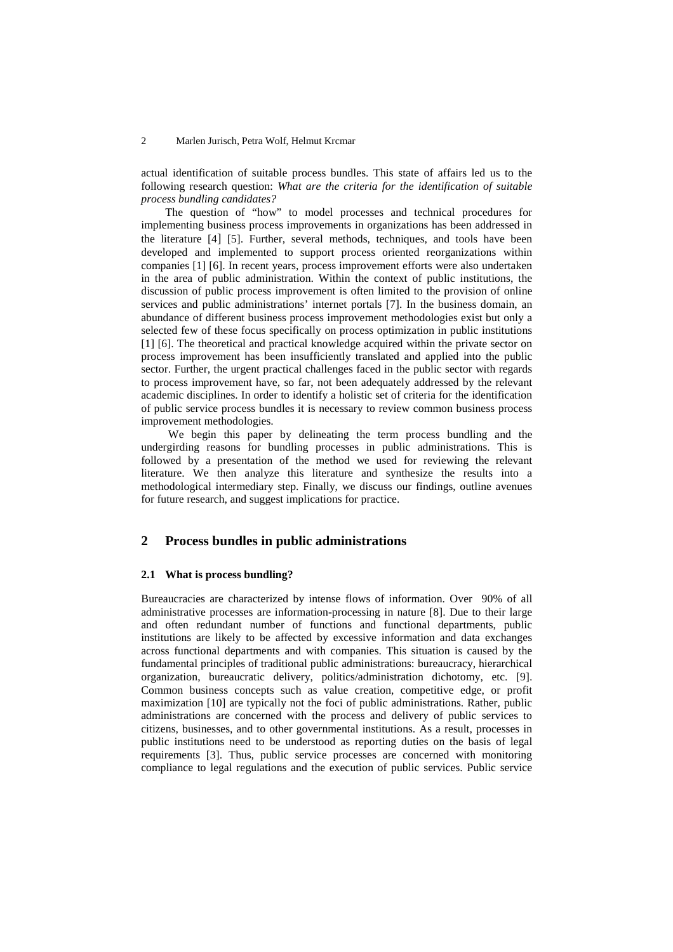actual identification of suitable process bundles. This state of affairs led us to the following research question: *What are the criteria for the identification of suitable process bundling candidates?*

 The question of "how" to model processes and technical procedures for implementing business process improvements in organizations has been addressed in the literature [4] [5]. Further, several methods, techniques, and tools have been developed and implemented to support process oriented reorganizations within companies [1] [6]. In recent years, process improvement efforts were also undertaken in the area of public administration. Within the context of public institutions, the discussion of public process improvement is often limited to the provision of online services and public administrations' internet portals [7]. In the business domain, an abundance of different business process improvement methodologies exist but only a selected few of these focus specifically on process optimization in public institutions [1] [6]. The theoretical and practical knowledge acquired within the private sector on process improvement has been insufficiently translated and applied into the public sector. Further, the urgent practical challenges faced in the public sector with regards to process improvement have, so far, not been adequately addressed by the relevant academic disciplines. In order to identify a holistic set of criteria for the identification of public service process bundles it is necessary to review common business process improvement methodologies.

 We begin this paper by delineating the term process bundling and the undergirding reasons for bundling processes in public administrations. This is followed by a presentation of the method we used for reviewing the relevant literature. We then analyze this literature and synthesize the results into a methodological intermediary step. Finally, we discuss our findings, outline avenues for future research, and suggest implications for practice.

## **2 Process bundles in public administrations**

### **2.1 What is process bundling?**

Bureaucracies are characterized by intense flows of information. Over 90% of all administrative processes are information-processing in nature [8]. Due to their large and often redundant number of functions and functional departments, public institutions are likely to be affected by excessive information and data exchanges across functional departments and with companies. This situation is caused by the fundamental principles of traditional public administrations: bureaucracy, hierarchical organization, bureaucratic delivery, politics/administration dichotomy, etc. [9]. Common business concepts such as value creation, competitive edge, or profit maximization [10] are typically not the foci of public administrations. Rather, public administrations are concerned with the process and delivery of public services to citizens, businesses, and to other governmental institutions. As a result, processes in public institutions need to be understood as reporting duties on the basis of legal requirements [3]. Thus, public service processes are concerned with monitoring compliance to legal regulations and the execution of public services. Public service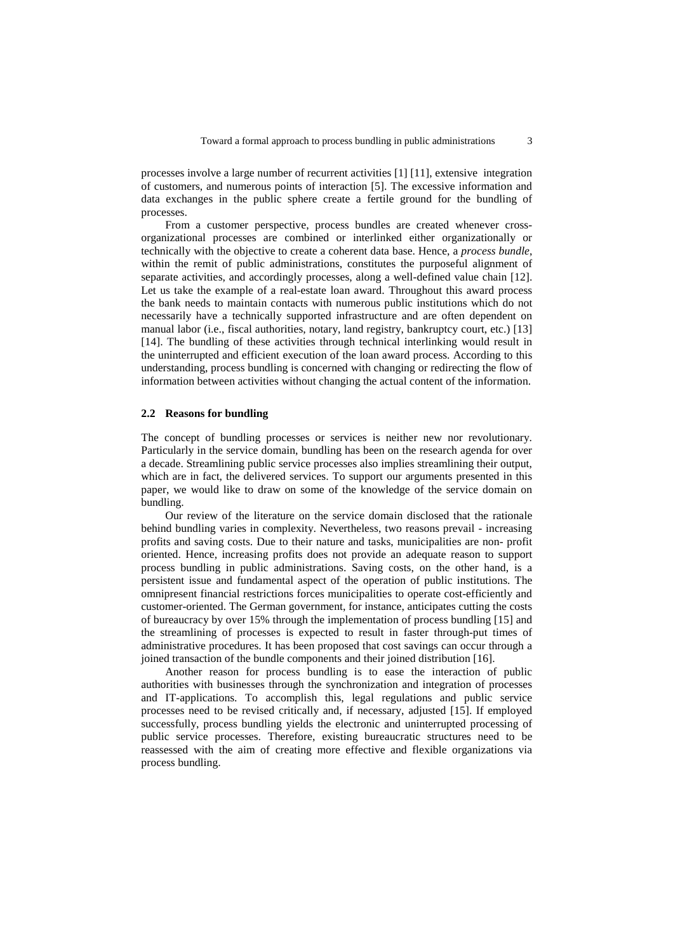processes involve a large number of recurrent activities [1] [11], extensive integration of customers, and numerous points of interaction [5]. The excessive information and data exchanges in the public sphere create a fertile ground for the bundling of processes.

 From a customer perspective, process bundles are created whenever crossorganizational processes are combined or interlinked either organizationally or technically with the objective to create a coherent data base. Hence, a *process bundle*, within the remit of public administrations, constitutes the purposeful alignment of separate activities, and accordingly processes, along a well-defined value chain [12]. Let us take the example of a real-estate loan award. Throughout this award process the bank needs to maintain contacts with numerous public institutions which do not necessarily have a technically supported infrastructure and are often dependent on manual labor (i.e., fiscal authorities, notary, land registry, bankruptcy court, etc.) [13] [14]. The bundling of these activities through technical interlinking would result in the uninterrupted and efficient execution of the loan award process. According to this understanding, process bundling is concerned with changing or redirecting the flow of information between activities without changing the actual content of the information.

#### **2.2 Reasons for bundling**

The concept of bundling processes or services is neither new nor revolutionary. Particularly in the service domain, bundling has been on the research agenda for over a decade. Streamlining public service processes also implies streamlining their output, which are in fact, the delivered services. To support our arguments presented in this paper, we would like to draw on some of the knowledge of the service domain on bundling.

 Our review of the literature on the service domain disclosed that the rationale behind bundling varies in complexity. Nevertheless, two reasons prevail - increasing profits and saving costs. Due to their nature and tasks, municipalities are non- profit oriented. Hence, increasing profits does not provide an adequate reason to support process bundling in public administrations. Saving costs, on the other hand, is a persistent issue and fundamental aspect of the operation of public institutions. The omnipresent financial restrictions forces municipalities to operate cost-efficiently and customer-oriented. The German government, for instance, anticipates cutting the costs of bureaucracy by over 15% through the implementation of process bundling [15] and the streamlining of processes is expected to result in faster through-put times of administrative procedures. It has been proposed that cost savings can occur through a joined transaction of the bundle components and their joined distribution [16].

 Another reason for process bundling is to ease the interaction of public authorities with businesses through the synchronization and integration of processes and IT-applications. To accomplish this, legal regulations and public service processes need to be revised critically and, if necessary, adjusted [15]. If employed successfully, process bundling yields the electronic and uninterrupted processing of public service processes. Therefore, existing bureaucratic structures need to be reassessed with the aim of creating more effective and flexible organizations via process bundling.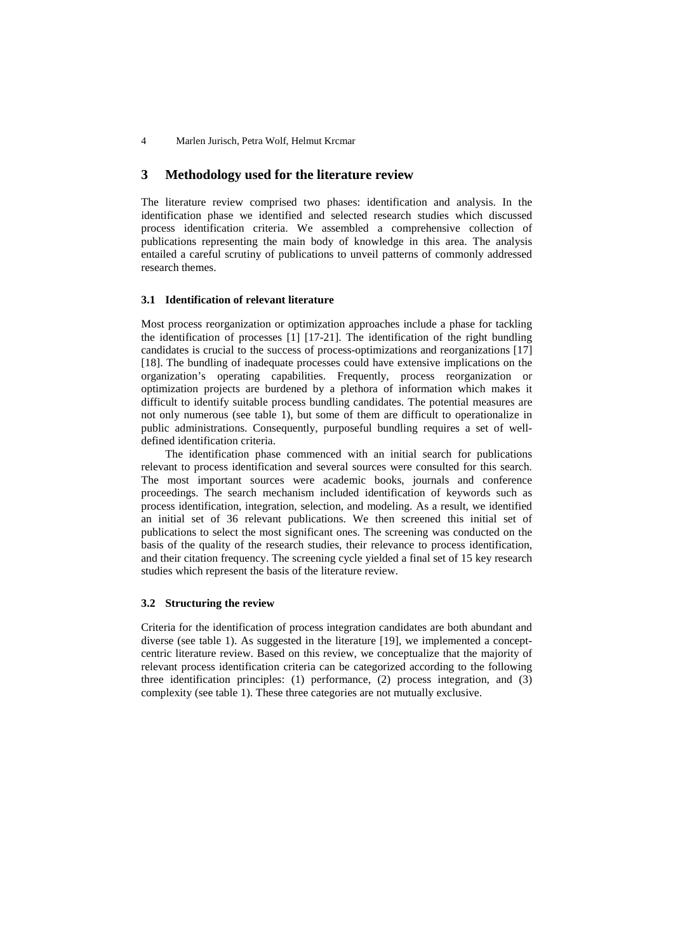## **3 Methodology used for the literature review**

The literature review comprised two phases: identification and analysis. In the identification phase we identified and selected research studies which discussed process identification criteria. We assembled a comprehensive collection of publications representing the main body of knowledge in this area. The analysis entailed a careful scrutiny of publications to unveil patterns of commonly addressed research themes.

## **3.1 Identification of relevant literature**

Most process reorganization or optimization approaches include a phase for tackling the identification of processes [1] [17-21]. The identification of the right bundling candidates is crucial to the success of process-optimizations and reorganizations [17] [18]. The bundling of inadequate processes could have extensive implications on the organization's operating capabilities. Frequently, process reorganization or optimization projects are burdened by a plethora of information which makes it difficult to identify suitable process bundling candidates. The potential measures are not only numerous (see table 1), but some of them are difficult to operationalize in public administrations. Consequently, purposeful bundling requires a set of welldefined identification criteria.

 The identification phase commenced with an initial search for publications relevant to process identification and several sources were consulted for this search. The most important sources were academic books, journals and conference proceedings. The search mechanism included identification of keywords such as process identification, integration, selection, and modeling. As a result, we identified an initial set of 36 relevant publications. We then screened this initial set of publications to select the most significant ones. The screening was conducted on the basis of the quality of the research studies, their relevance to process identification, and their citation frequency. The screening cycle yielded a final set of 15 key research studies which represent the basis of the literature review.

## **3.2 Structuring the review**

Criteria for the identification of process integration candidates are both abundant and diverse (see table 1). As suggested in the literature [19], we implemented a conceptcentric literature review. Based on this review, we conceptualize that the majority of relevant process identification criteria can be categorized according to the following three identification principles: (1) performance, (2) process integration, and (3) complexity (see table 1). These three categories are not mutually exclusive.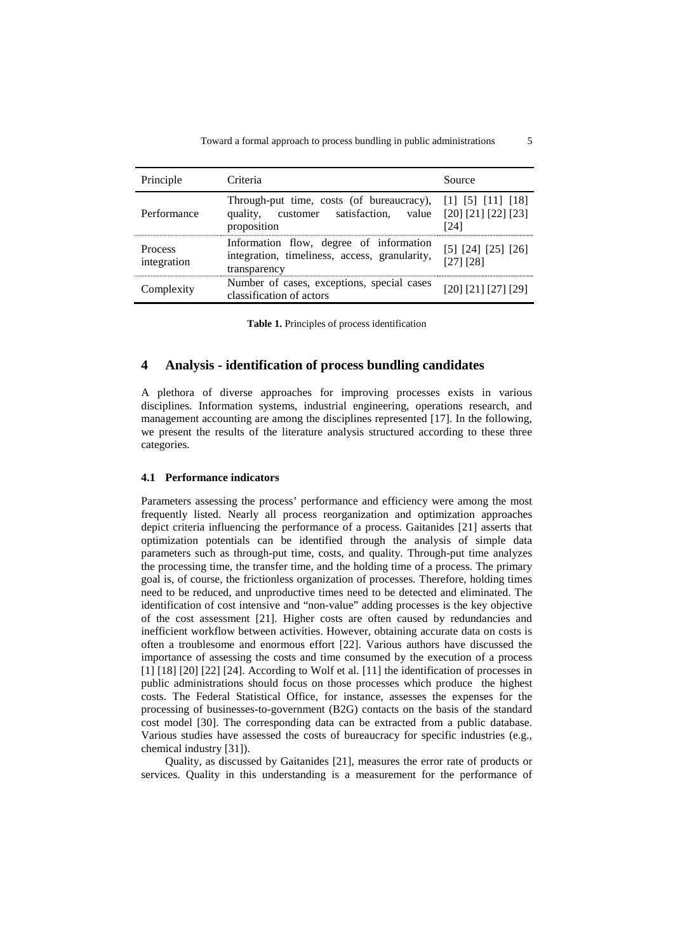| Principle                     | Criteria                                                                                                                                | Source                                      |
|-------------------------------|-----------------------------------------------------------------------------------------------------------------------------------------|---------------------------------------------|
| Performance                   | Through-put time, costs (of bureaucracy), [1] [5] [11] [18]<br>quality, customer satisfaction, value [20] [21] [22] [23]<br>proposition | [24]                                        |
| <b>Process</b><br>integration | Information flow, degree of information<br>integration, timeliness, access, granularity,<br>transparency                                | $[5]$ $[24]$ $[25]$ $[26]$<br>$[27]$ $[28]$ |
| Complexity                    | Number of cases, exceptions, special cases<br>classification of actors                                                                  | [20] [21] [27] [29]                         |

**Table 1.** Principles of process identification

## **4 Analysis - identification of process bundling candidates**

A plethora of diverse approaches for improving processes exists in various disciplines. Information systems, industrial engineering, operations research, and management accounting are among the disciplines represented [17]. In the following, we present the results of the literature analysis structured according to these three categories.

## **4.1 Performance indicators**

Parameters assessing the process' performance and efficiency were among the most frequently listed. Nearly all process reorganization and optimization approaches depict criteria influencing the performance of a process. Gaitanides [21] asserts that optimization potentials can be identified through the analysis of simple data parameters such as through-put time, costs, and quality. Through-put time analyzes the processing time, the transfer time, and the holding time of a process. The primary goal is, of course, the frictionless organization of processes. Therefore, holding times need to be reduced, and unproductive times need to be detected and eliminated. The identification of cost intensive and "non-value" adding processes is the key objective of the cost assessment [21]. Higher costs are often caused by redundancies and inefficient workflow between activities. However, obtaining accurate data on costs is often a troublesome and enormous effort [22]. Various authors have discussed the importance of assessing the costs and time consumed by the execution of a process [1] [18] [20] [22] [24]. According to Wolf et al. [11] the identification of processes in public administrations should focus on those processes which produce the highest costs. The Federal Statistical Office, for instance, assesses the expenses for the processing of businesses-to-government (B2G) contacts on the basis of the standard cost model [30]. The corresponding data can be extracted from a public database. Various studies have assessed the costs of bureaucracy for specific industries (e.g., chemical industry [31]).

 Quality, as discussed by Gaitanides [21], measures the error rate of products or services. Quality in this understanding is a measurement for the performance of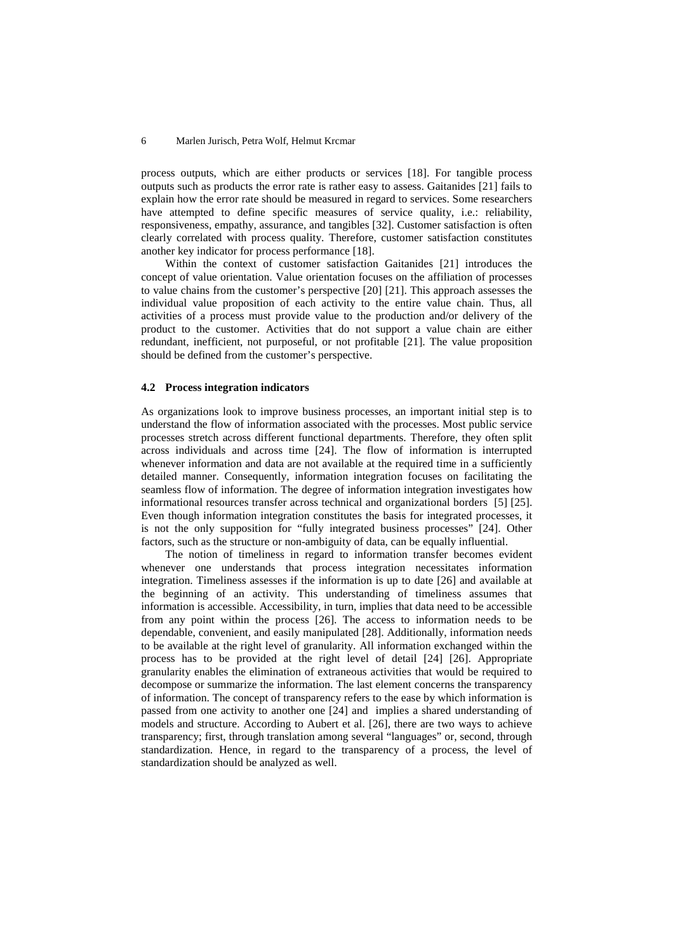process outputs, which are either products or services [18]. For tangible process outputs such as products the error rate is rather easy to assess. Gaitanides [21] fails to explain how the error rate should be measured in regard to services. Some researchers have attempted to define specific measures of service quality, i.e.: reliability, responsiveness, empathy, assurance, and tangibles [32]. Customer satisfaction is often clearly correlated with process quality. Therefore, customer satisfaction constitutes another key indicator for process performance [18].

 Within the context of customer satisfaction Gaitanides [21] introduces the concept of value orientation. Value orientation focuses on the affiliation of processes to value chains from the customer's perspective [20] [21]. This approach assesses the individual value proposition of each activity to the entire value chain. Thus, all activities of a process must provide value to the production and/or delivery of the product to the customer. Activities that do not support a value chain are either redundant, inefficient, not purposeful, or not profitable [21]. The value proposition should be defined from the customer's perspective.

#### **4.2 Process integration indicators**

As organizations look to improve business processes, an important initial step is to understand the flow of information associated with the processes. Most public service processes stretch across different functional departments. Therefore, they often split across individuals and across time [24]. The flow of information is interrupted whenever information and data are not available at the required time in a sufficiently detailed manner. Consequently, information integration focuses on facilitating the seamless flow of information. The degree of information integration investigates how informational resources transfer across technical and organizational borders [5] [25]. Even though information integration constitutes the basis for integrated processes, it is not the only supposition for "fully integrated business processes" [24]. Other factors, such as the structure or non-ambiguity of data, can be equally influential.

 The notion of timeliness in regard to information transfer becomes evident whenever one understands that process integration necessitates information integration. Timeliness assesses if the information is up to date [26] and available at the beginning of an activity. This understanding of timeliness assumes that information is accessible. Accessibility, in turn, implies that data need to be accessible from any point within the process [26]. The access to information needs to be dependable, convenient, and easily manipulated [28]. Additionally, information needs to be available at the right level of granularity. All information exchanged within the process has to be provided at the right level of detail [24] [26]. Appropriate granularity enables the elimination of extraneous activities that would be required to decompose or summarize the information. The last element concerns the transparency of information. The concept of transparency refers to the ease by which information is passed from one activity to another one [24] and implies a shared understanding of models and structure. According to Aubert et al. [26], there are two ways to achieve transparency; first, through translation among several "languages" or, second, through standardization. Hence, in regard to the transparency of a process, the level of standardization should be analyzed as well.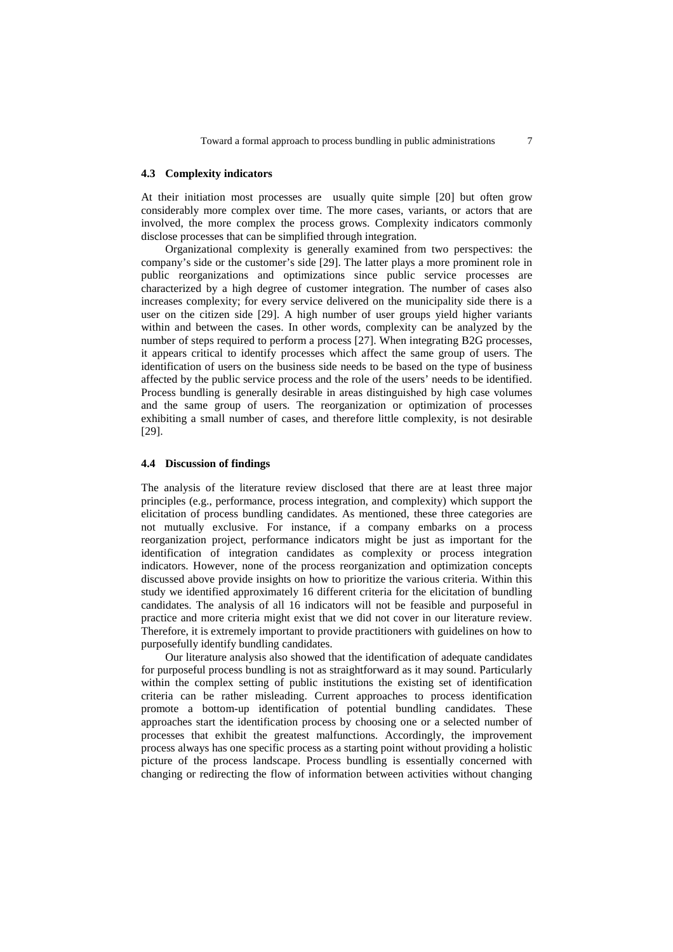#### **4.3 Complexity indicators**

At their initiation most processes are usually quite simple [20] but often grow considerably more complex over time. The more cases, variants, or actors that are involved, the more complex the process grows. Complexity indicators commonly disclose processes that can be simplified through integration.

 Organizational complexity is generally examined from two perspectives: the company's side or the customer's side [29]. The latter plays a more prominent role in public reorganizations and optimizations since public service processes are characterized by a high degree of customer integration. The number of cases also increases complexity; for every service delivered on the municipality side there is a user on the citizen side [29]. A high number of user groups yield higher variants within and between the cases. In other words, complexity can be analyzed by the number of steps required to perform a process [27]. When integrating B2G processes, it appears critical to identify processes which affect the same group of users. The identification of users on the business side needs to be based on the type of business affected by the public service process and the role of the users' needs to be identified. Process bundling is generally desirable in areas distinguished by high case volumes and the same group of users. The reorganization or optimization of processes exhibiting a small number of cases, and therefore little complexity, is not desirable [29].

### **4.4 Discussion of findings**

The analysis of the literature review disclosed that there are at least three major principles (e.g., performance, process integration, and complexity) which support the elicitation of process bundling candidates. As mentioned, these three categories are not mutually exclusive. For instance, if a company embarks on a process reorganization project, performance indicators might be just as important for the identification of integration candidates as complexity or process integration indicators. However, none of the process reorganization and optimization concepts discussed above provide insights on how to prioritize the various criteria. Within this study we identified approximately 16 different criteria for the elicitation of bundling candidates. The analysis of all 16 indicators will not be feasible and purposeful in practice and more criteria might exist that we did not cover in our literature review. Therefore, it is extremely important to provide practitioners with guidelines on how to purposefully identify bundling candidates.

 Our literature analysis also showed that the identification of adequate candidates for purposeful process bundling is not as straightforward as it may sound. Particularly within the complex setting of public institutions the existing set of identification criteria can be rather misleading. Current approaches to process identification promote a bottom-up identification of potential bundling candidates. These approaches start the identification process by choosing one or a selected number of processes that exhibit the greatest malfunctions. Accordingly, the improvement process always has one specific process as a starting point without providing a holistic picture of the process landscape. Process bundling is essentially concerned with changing or redirecting the flow of information between activities without changing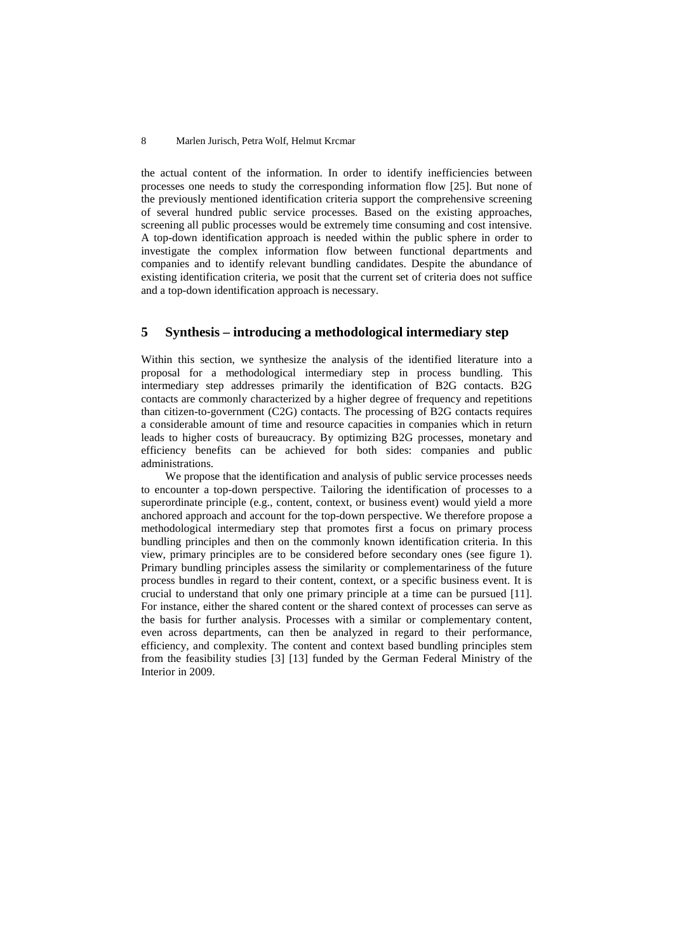the actual content of the information. In order to identify inefficiencies between processes one needs to study the corresponding information flow [25]. But none of the previously mentioned identification criteria support the comprehensive screening of several hundred public service processes. Based on the existing approaches, screening all public processes would be extremely time consuming and cost intensive. A top-down identification approach is needed within the public sphere in order to investigate the complex information flow between functional departments and companies and to identify relevant bundling candidates. Despite the abundance of existing identification criteria, we posit that the current set of criteria does not suffice and a top-down identification approach is necessary.

## **5 Synthesis – introducing a methodological intermediary step**

Within this section, we synthesize the analysis of the identified literature into a proposal for a methodological intermediary step in process bundling. This intermediary step addresses primarily the identification of B2G contacts. B2G contacts are commonly characterized by a higher degree of frequency and repetitions than citizen-to-government (C2G) contacts. The processing of B2G contacts requires a considerable amount of time and resource capacities in companies which in return leads to higher costs of bureaucracy. By optimizing B2G processes, monetary and efficiency benefits can be achieved for both sides: companies and public administrations.

 We propose that the identification and analysis of public service processes needs to encounter a top-down perspective. Tailoring the identification of processes to a superordinate principle (e.g., content, context, or business event) would yield a more anchored approach and account for the top-down perspective. We therefore propose a methodological intermediary step that promotes first a focus on primary process bundling principles and then on the commonly known identification criteria. In this view, primary principles are to be considered before secondary ones (see figure 1). Primary bundling principles assess the similarity or complementariness of the future process bundles in regard to their content, context, or a specific business event. It is crucial to understand that only one primary principle at a time can be pursued [11]. For instance, either the shared content or the shared context of processes can serve as the basis for further analysis. Processes with a similar or complementary content, even across departments, can then be analyzed in regard to their performance, efficiency, and complexity. The content and context based bundling principles stem from the feasibility studies [3] [13] funded by the German Federal Ministry of the Interior in 2009.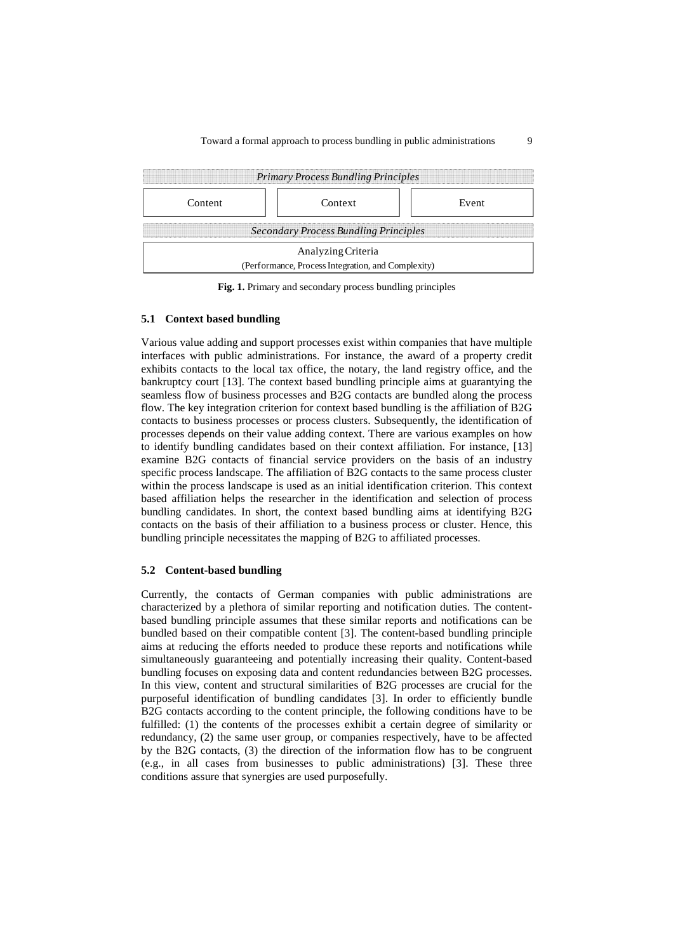

**Fig. 1.** Primary and secondary process bundling principles

## **5.1 Context based bundling**

Various value adding and support processes exist within companies that have multiple interfaces with public administrations. For instance, the award of a property credit exhibits contacts to the local tax office, the notary, the land registry office, and the bankruptcy court [13]. The context based bundling principle aims at guarantying the seamless flow of business processes and B2G contacts are bundled along the process flow. The key integration criterion for context based bundling is the affiliation of B2G contacts to business processes or process clusters. Subsequently, the identification of processes depends on their value adding context. There are various examples on how to identify bundling candidates based on their context affiliation. For instance, [13] examine B2G contacts of financial service providers on the basis of an industry specific process landscape. The affiliation of B2G contacts to the same process cluster within the process landscape is used as an initial identification criterion. This context based affiliation helps the researcher in the identification and selection of process bundling candidates. In short, the context based bundling aims at identifying B2G contacts on the basis of their affiliation to a business process or cluster. Hence, this bundling principle necessitates the mapping of B2G to affiliated processes.

#### **5.2 Content-based bundling**

Currently, the contacts of German companies with public administrations are characterized by a plethora of similar reporting and notification duties. The contentbased bundling principle assumes that these similar reports and notifications can be bundled based on their compatible content [3]. The content-based bundling principle aims at reducing the efforts needed to produce these reports and notifications while simultaneously guaranteeing and potentially increasing their quality. Content-based bundling focuses on exposing data and content redundancies between B2G processes. In this view, content and structural similarities of B2G processes are crucial for the purposeful identification of bundling candidates [3]. In order to efficiently bundle B2G contacts according to the content principle, the following conditions have to be fulfilled: (1) the contents of the processes exhibit a certain degree of similarity or redundancy, (2) the same user group, or companies respectively, have to be affected by the B2G contacts, (3) the direction of the information flow has to be congruent (e.g., in all cases from businesses to public administrations) [3]. These three conditions assure that synergies are used purposefully.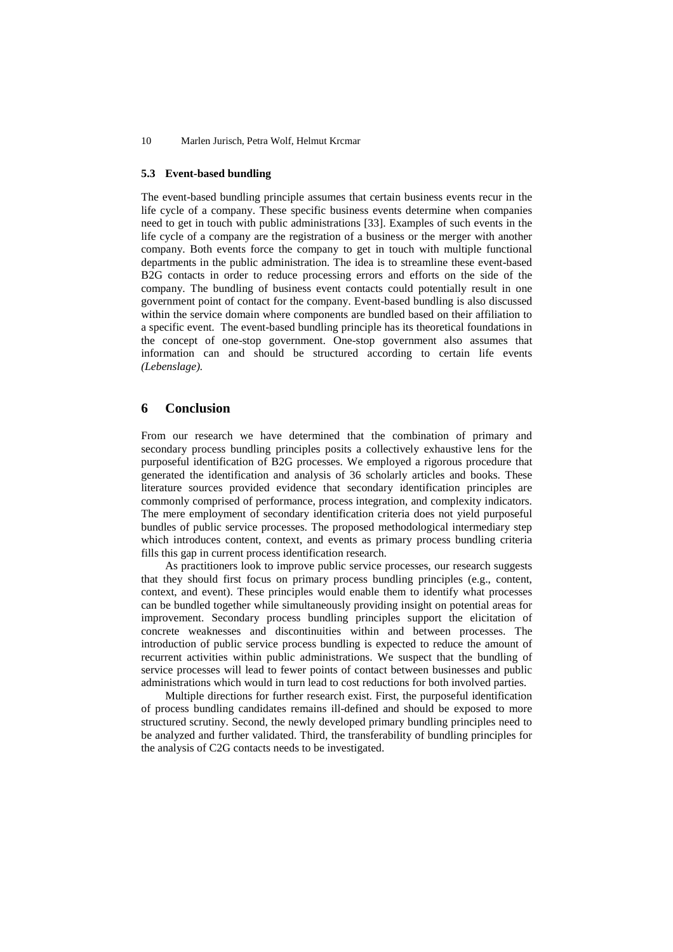#### **5.3 Event-based bundling**

The event-based bundling principle assumes that certain business events recur in the life cycle of a company. These specific business events determine when companies need to get in touch with public administrations [33]. Examples of such events in the life cycle of a company are the registration of a business or the merger with another company. Both events force the company to get in touch with multiple functional departments in the public administration. The idea is to streamline these event-based B2G contacts in order to reduce processing errors and efforts on the side of the company. The bundling of business event contacts could potentially result in one government point of contact for the company. Event-based bundling is also discussed within the service domain where components are bundled based on their affiliation to a specific event. The event-based bundling principle has its theoretical foundations in the concept of one-stop government. One-stop government also assumes that information can and should be structured according to certain life events *(Lebenslage).*

## **6 Conclusion**

From our research we have determined that the combination of primary and secondary process bundling principles posits a collectively exhaustive lens for the purposeful identification of B2G processes. We employed a rigorous procedure that generated the identification and analysis of 36 scholarly articles and books. These literature sources provided evidence that secondary identification principles are commonly comprised of performance, process integration, and complexity indicators. The mere employment of secondary identification criteria does not yield purposeful bundles of public service processes. The proposed methodological intermediary step which introduces content, context, and events as primary process bundling criteria fills this gap in current process identification research.

 As practitioners look to improve public service processes, our research suggests that they should first focus on primary process bundling principles (e.g., content, context, and event). These principles would enable them to identify what processes can be bundled together while simultaneously providing insight on potential areas for improvement. Secondary process bundling principles support the elicitation of concrete weaknesses and discontinuities within and between processes. The introduction of public service process bundling is expected to reduce the amount of recurrent activities within public administrations. We suspect that the bundling of service processes will lead to fewer points of contact between businesses and public administrations which would in turn lead to cost reductions for both involved parties.

 Multiple directions for further research exist. First, the purposeful identification of process bundling candidates remains ill-defined and should be exposed to more structured scrutiny. Second, the newly developed primary bundling principles need to be analyzed and further validated. Third, the transferability of bundling principles for the analysis of C2G contacts needs to be investigated.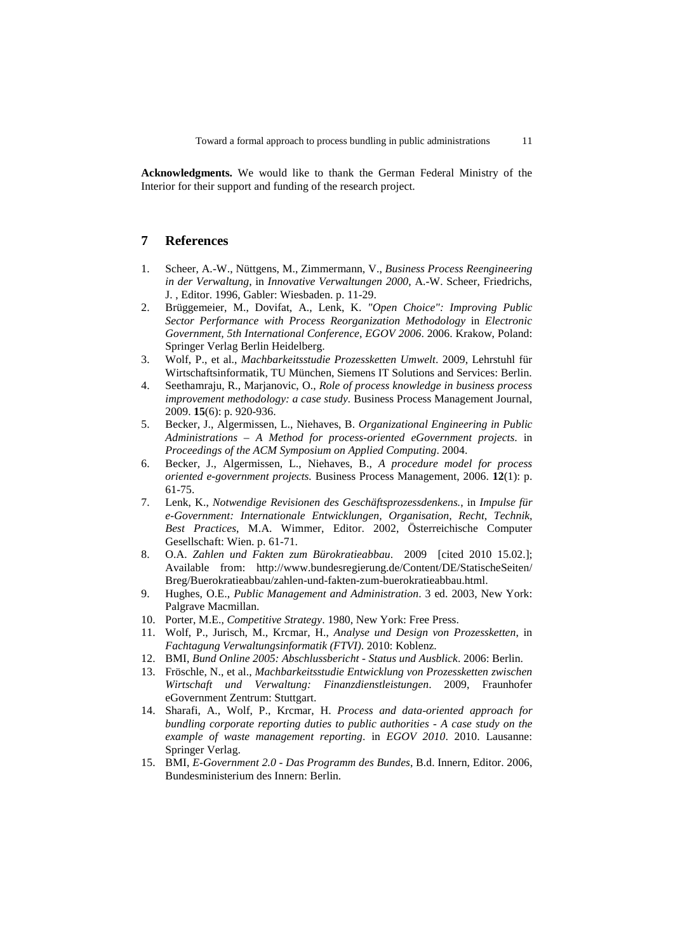**Acknowledgments.** We would like to thank the German Federal Ministry of the Interior for their support and funding of the research project.

## **7 References**

- 1. Scheer, A.-W., Nüttgens, M., Zimmermann, V., *Business Process Reengineering in der Verwaltung*, in *Innovative Verwaltungen 2000*, A.-W. Scheer, Friedrichs, J. , Editor. 1996, Gabler: Wiesbaden. p. 11-29.
- 2. Brüggemeier, M., Dovifat, A., Lenk, K. *"Open Choice": Improving Public Sector Performance with Process Reorganization Methodology* in *Electronic Government, 5th International Conference, EGOV 2006*. 2006. Krakow, Poland: Springer Verlag Berlin Heidelberg.
- 3. Wolf, P., et al., *Machbarkeitsstudie Prozessketten Umwelt*. 2009, Lehrstuhl für Wirtschaftsinformatik, TU München, Siemens IT Solutions and Services: Berlin.
- 4. Seethamraju, R., Marjanovic, O., *Role of process knowledge in business process improvement methodology: a case study.* Business Process Management Journal, 2009. **15**(6): p. 920-936.
- 5. Becker, J., Algermissen, L., Niehaves, B. *Organizational Engineering in Public Administrations – A Method for process-oriented eGovernment projects*. in *Proceedings of the ACM Symposium on Applied Computing*. 2004.
- 6. Becker, J., Algermissen, L., Niehaves, B., *A procedure model for process oriented e-government projects.* Business Process Management, 2006. **12**(1): p. 61-75.
- 7. Lenk, K., *Notwendige Revisionen des Geschäftsprozessdenkens.*, in *Impulse für e-Government: Internationale Entwicklungen, Organisation, Recht, Technik, Best Practices*, M.A. Wimmer, Editor. 2002, Österreichische Computer Gesellschaft: Wien. p. 61-71.
- 8. O.A. *Zahlen und Fakten zum Bürokratieabbau*. 2009 [cited 2010 15.02.]; Available from: http://www.bundesregierung.de/Content/DE/StatischeSeiten/ Breg/Buerokratieabbau/zahlen-und-fakten-zum-buerokratieabbau.html.
- 9. Hughes, O.E., *Public Management and Administration*. 3 ed. 2003, New York: Palgrave Macmillan.
- 10. Porter, M.E., *Competitive Strategy*. 1980, New York: Free Press.
- 11. Wolf, P., Jurisch, M., Krcmar, H., *Analyse und Design von Prozessketten*, in *Fachtagung Verwaltungsinformatik (FTVI)*. 2010: Koblenz.
- 12. BMI, *Bund Online 2005: Abschlussbericht Status und Ausblick*. 2006: Berlin.
- 13. Fröschle, N., et al., *Machbarkeitsstudie Entwicklung von Prozessketten zwischen Wirtschaft und Verwaltung: Finanzdienstleistungen*. 2009, Fraunhofer eGovernment Zentrum: Stuttgart.
- 14. Sharafi, A., Wolf, P., Krcmar, H. *Process and data-oriented approach for bundling corporate reporting duties to public authorities - A case study on the example of waste management reporting*. in *EGOV 2010*. 2010. Lausanne: Springer Verlag.
- 15. BMI, *E-Government 2.0 Das Programm des Bundes*, B.d. Innern, Editor. 2006, Bundesministerium des Innern: Berlin.